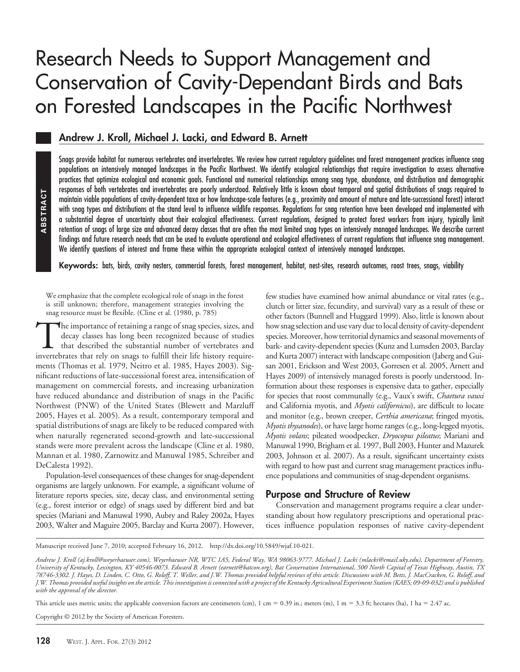# Research Needs to Support Management and Conservation of Cavity-Dependant Birds and Bats on Forested Landscapes in the Pacific Northwest

# **Andrew J. Kroll, Michael J. Lacki, and Edward B. Arnett**

Snags provide habitat for numerous vertebrates and invertebrates. We review how current regulatory guidelines and forest management practices influence snag populations on intensively managed landscapes in the Pacific Northwest. We identify ecological relationships that require investigation to assess alternative practices that optimize ecological and economic goals. Functional and numerical relationships among snag type, abundance, and distribution and demographic responses of both vertebrates and invertebrates are poorly understood. Relatively little is known about temporal and spatial distributions of snags required to maintain viable populations of cavity-dependent taxa or how landscape-scale features (e.g., proximity and amount of mature and late-successional forest) interact with snag types and distributions at the stand level to influence wildlife responses. Regulations for snag retention have been developed and implemented with a substantial degree of uncertainty about their ecological effectiveness. Current regulations, designed to protect forest workers from injury, typically limit retention of snags of large size and advanced decay classes that are often the most limited snag types on intensively managed landscapes. We describe current findings and future research needs that can be used to evaluate operational and ecological effectiveness of current regulations that influence snag management. We identify questions of interest and frame these within the appropriate ecological context of intensively managed landscapes.

**Keywords:** bats, birds, cavity nesters, commercial forests, forest management, habitat, nest-sites, research outcomes, roost trees, snags, viability

We emphasize that the complete ecological role of snags in the forest is still unknown; therefore, management strategies involving the snag resource must be flexible. (Cline et al. (1980, p. 785)

The importance of retaining a range of snag species, sizes, and<br>decay classes has long been recognized because of studies<br>that described the substantial number of vertebrates and<br>invertebrates that rely on snags to fulfill decay classes has long been recognized because of studies that described the substantial number of vertebrates and ments (Thomas et al. 1979, Neitro et al. 1985, Hayes 2003). Significant reductions of late-successional forest area, intensification of management on commercial forests, and increasing urbanization have reduced abundance and distribution of snags in the Pacific Northwest (PNW) of the United States (Blewett and Marzluff 2005, Hayes et al. 2005). As a result, contemporary temporal and spatial distributions of snags are likely to be reduced compared with when naturally regenerated second-growth and late-successional stands were more prevalent across the landscape (Cline et al. 1980, Mannan et al. 1980, Zarnowitz and Manuwal 1985, Schreiber and DeCalesta 1992). **128** We sell that the mail of the metrical sum<br>
maintain viole populations of cavi<br>
with snog types and distributions of<br>
128<br>
We identify questions of interest needs<br>
We identify questions of interest<br>
Consider the examp

Population-level consequences of these changes for snag-dependent organisms are largely unknown. For example, a significant volume of literature reports species, size, decay class, and environmental setting (e.g., forest interior or edge) of snags used by different bird and bat species (Mariani and Manuwal 1990, Aubry and Raley 2002a, Hayes 2003, Walter and Maguire 2005, Barclay and Kurta 2007). However,

few studies have examined how animal abundance or vital rates (e.g., clutch or litter size, fecundity, and survival) vary as a result of these or other factors (Bunnell and Huggard 1999). Also, little is known about how snag selection and use vary due to local density of cavity-dependent species.Moreover, how territorial dynamics and seasonal movements of bark- and cavity-dependent species (Kunz and Lumsden 2003, Barclay and Kurta 2007) interact with landscape composition (Jaberg and Guisan 2001, Erickson and West 2003, Gorresen et al. 2005, Arnett and Hayes 2009) of intensively managed forests is poorly understood. Information about these responses is expensive data to gather, especially for species that roost communally (e.g., Vaux's swift, *Chaetura vauxi* and California myotis, and *Myotis californicus*), are difficult to locate and monitor (e.g., brown creeper, *Certhia americana*; fringed myotis, *Myotis thysanodes*), or have large home ranges (e.g., long-legged myotis, *Myotis volans*; pileated woodpecker, *Dryocopus pileatus*; Mariani and Manuwal 1990, Brigham et al. 1997, Bull 2003, Hunter and Mazurek 2003, Johnson et al. 2007). As a result, significant uncertainty exists with regard to how past and current snag management practices influence populations and communities of snag-dependent organisms.

## **Purpose and Structure of Review**

Conservation and management programs require a clear understanding about how regulatory prescriptions and operational practices influence population responses of native cavity-dependent

Manuscript received June 7, 2010; accepted February 16, 2012. http://dx.doi.org/10.5849/wjaf.10-021.

*Andrew J. Kroll (aj.kroll@weyerhaeuser.com), Weyerhaeuser NR, WTC 1A5, Federal Way, WA 98063-9777. Michael J. Lacki (mlacki@email.uky.edu), Department of Forestry, University of Kentucky, Lexington, KY 40546-0073. Edward B. Arnett (earnett@batcon.org), Bat Conservation International, 500 North Capital of Texas Highway, Austin, TX 78746-3302. J. Hayes, D. Linden, C. Otto, G. Roloff, T. Weller, and J.W. Thomas provided helpful reviews of this article. Discussions with M. Betts, J. MacCracken, G. Roloff, and J.W. Thomas provided useful insights on the article. This investigation is connected with a project of the Kentucky Agricultural Experiment Station (KAES; 09-09-032) and is published with the approval of the director.*

This article uses metric units; the applicable conversion factors are centimeters (cm),  $1 \text{ cm} = 0.39 \text{ in.}$ ; meters (m),  $1 \text{ m} = 3.3 \text{ ft}$ ; hectares (ha),  $1 \text{ ha} = 2.47 \text{ ac.}$ 

Copyright © 2012 by the Society of American Foresters.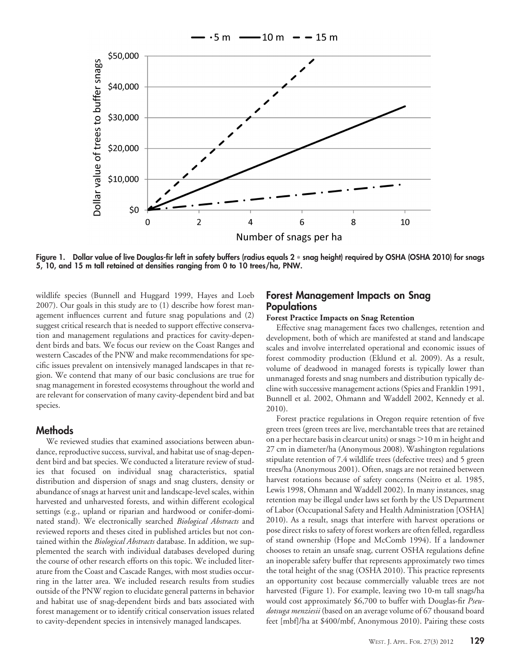

**Figure 1. Dollar value of live Douglas-fir left in safety buffers (radius equals 2 snag height) required by OSHA (OSHA 2010) for snags 5, 10, and 15 m tall retained at densities ranging from 0 to 10 trees/ha, PNW.**

wildlife species (Bunnell and Huggard 1999, Hayes and Loeb 2007). Our goals in this study are to (1) describe how forest management influences current and future snag populations and (2) suggest critical research that is needed to support effective conservation and management regulations and practices for cavity-dependent birds and bats. We focus our review on the Coast Ranges and western Cascades of the PNW and make recommendations for specific issues prevalent on intensively managed landscapes in that region. We contend that many of our basic conclusions are true for snag management in forested ecosystems throughout the world and are relevant for conservation of many cavity-dependent bird and bat species.

## **Methods**

We reviewed studies that examined associations between abundance, reproductive success, survival, and habitat use of snag-dependent bird and bat species. We conducted a literature review of studies that focused on individual snag characteristics, spatial distribution and dispersion of snags and snag clusters, density or abundance of snags at harvest unit and landscape-level scales, within harvested and unharvested forests, and within different ecological settings (e.g., upland or riparian and hardwood or conifer-dominated stand). We electronically searched *Biological Abstracts* and reviewed reports and theses cited in published articles but not contained within the *Biological Abstracts* database. In addition, we supplemented the search with individual databases developed during the course of other research efforts on this topic. We included literature from the Coast and Cascade Ranges, with most studies occurring in the latter area. We included research results from studies outside of the PNW region to elucidate general patterns in behavior and habitat use of snag-dependent birds and bats associated with forest management or to identify critical conservation issues related to cavity-dependent species in intensively managed landscapes.

## **Forest Management Impacts on Snag Populations**

## **Forest Practice Impacts on Snag Retention**

Effective snag management faces two challenges, retention and development, both of which are manifested at stand and landscape scales and involve interrelated operational and economic issues of forest commodity production (Eklund et al. 2009). As a result, volume of deadwood in managed forests is typically lower than unmanaged forests and snag numbers and distribution typically decline with successive management actions (Spies and Franklin 1991, Bunnell et al. 2002, Ohmann and Waddell 2002, Kennedy et al. 2010).

Forest practice regulations in Oregon require retention of five green trees (green trees are live, merchantable trees that are retained on a per hectare basis in clearcut units) or snags  $\rm {> }10$  m in height and 27 cm in diameter/ha (Anonymous 2008). Washington regulations stipulate retention of 7.4 wildlife trees (defective trees) and 5 green trees/ha (Anonymous 2001). Often, snags are not retained between harvest rotations because of safety concerns (Neitro et al. 1985, Lewis 1998, Ohmann and Waddell 2002). In many instances, snag retention may be illegal under laws set forth by the US Department of Labor (Occupational Safety and Health Administration [OSHA] 2010). As a result, snags that interfere with harvest operations or pose direct risks to safety of forest workers are often felled, regardless of stand ownership (Hope and McComb 1994). If a landowner chooses to retain an unsafe snag, current OSHA regulations define an inoperable safety buffer that represents approximately two times the total height of the snag (OSHA 2010). This practice represents an opportunity cost because commercially valuable trees are not harvested (Figure 1). For example, leaving two 10-m tall snags/ha would cost approximately \$6,700 to buffer with Douglas-fir *Pseudotsuga menziesii* (based on an average volume of 67 thousand board feet [mbf]/ha at \$400/mbf, Anonymous 2010). Pairing these costs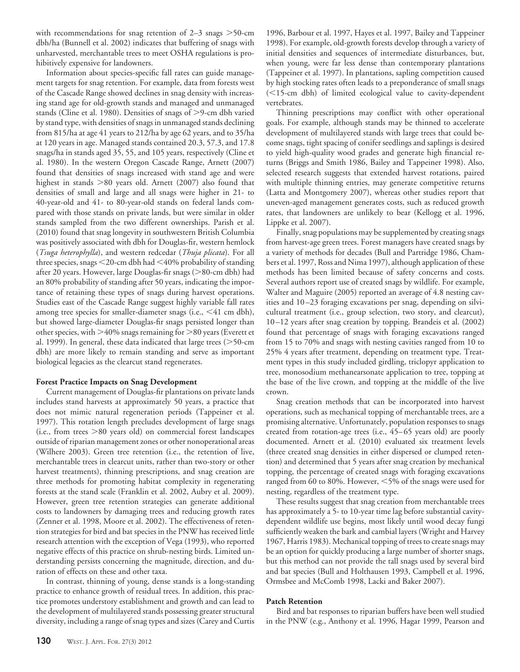with recommendations for snag retention of 2–3 snags  $>$  50-cm dbh/ha (Bunnell et al. 2002) indicates that buffering of snags with unharvested, merchantable trees to meet OSHA regulations is prohibitively expensive for landowners.

Information about species-specific fall rates can guide management targets for snag retention. For example, data from forests west of the Cascade Range showed declines in snag density with increasing stand age for old-growth stands and managed and unmanaged stands (Cline et al. 1980). Densities of snags of >9-cm dbh varied by stand type, with densities of snags in unmanaged stands declining from 815/ha at age 41 years to 212/ha by age 62 years, and to 35/ha at 120 years in age. Managed stands contained 20.3, 57.3, and 17.8 snags/ha in stands aged 35, 55, and 105 years, respectively (Cline et al. 1980). In the western Oregon Cascade Range, Arnett (2007) found that densities of snags increased with stand age and were highest in stands -80 years old. Arnett (2007) also found that densities of small and large and all snags were higher in 21- to 40-year-old and 41- to 80-year-old stands on federal lands compared with those stands on private lands, but were similar in older stands sampled from the two different ownerships. Parish et al. (2010) found that snag longevity in southwestern British Columbia was positively associated with dbh for Douglas-fir, western hemlock (*Tsuga heterophylla*), and western redcedar (*Thuja plicata*). For all three species, snags  $<$  20-cm dbh had  $<$  40% probability of standing after 20 years. However, large Douglas-fir snags (>80-cm dbh) had an 80% probability of standing after 50 years, indicating the importance of retaining these types of snags during harvest operations. Studies east of the Cascade Range suggest highly variable fall rates among tree species for smaller-diameter snags (i.e.,  $\leq 41$  cm dbh), but showed large-diameter Douglas-fir snags persisted longer than other species, with  $>\!40\%$  snags remaining for  $>\!80$  years (Everett et al. 1999). In general, these data indicated that large trees ( $>$ 50-cm  $\,$ dbh) are more likely to remain standing and serve as important biological legacies as the clearcut stand regenerates.

## **Forest Practice Impacts on Snag Development**

Current management of Douglas-fir plantations on private lands includes stand harvests at approximately 50 years, a practice that does not mimic natural regeneration periods (Tappeiner et al. 1997). This rotation length precludes development of large snags (i.e., from trees -80 years old) on commercial forest landscapes outside of riparian management zones or other nonoperational areas (Wilhere 2003). Green tree retention (i.e., the retention of live, merchantable trees in clearcut units, rather than two-story or other harvest treatments), thinning prescriptions, and snag creation are three methods for promoting habitat complexity in regenerating forests at the stand scale (Franklin et al. 2002, Aubry et al. 2009). However, green tree retention strategies can generate additional costs to landowners by damaging trees and reducing growth rates (Zenner et al. 1998, Moore et al. 2002). The effectiveness of retention strategies for bird and bat species in the PNW has received little research attention with the exception of Vega (1993), who reported negative effects of this practice on shrub-nesting birds. Limited understanding persists concerning the magnitude, direction, and duration of effects on these and other taxa.

In contrast, thinning of young, dense stands is a long-standing practice to enhance growth of residual trees. In addition, this practice promotes understory establishment and growth and can lead to the development of multilayered stands possessing greater structural diversity, including a range of snag types and sizes (Carey and Curtis

1996, Barbour et al. 1997, Hayes et al. 1997, Bailey and Tappeiner 1998). For example, old-growth forests develop through a variety of initial densities and sequences of intermediate disturbances, but, when young, were far less dense than contemporary plantations (Tappeiner et al. 1997). In plantations, sapling competition caused by high stocking rates often leads to a preponderance of small snags (<15-cm dbh) of limited ecological value to cavity-dependent vertebrates.

Thinning prescriptions may conflict with other operational goals. For example, although stands may be thinned to accelerate development of multilayered stands with large trees that could become snags, tight spacing of conifer seedlings and saplings is desired to yield high-quality wood grades and generate high financial returns (Briggs and Smith 1986, Bailey and Tappeiner 1998). Also, selected research suggests that extended harvest rotations, paired with multiple thinning entries, may generate competitive returns (Latta and Montgomery 2007), whereas other studies report that uneven-aged management generates costs, such as reduced growth rates, that landowners are unlikely to bear (Kellogg et al. 1996, Lippke et al. 2007).

Finally, snag populations may be supplemented by creating snags from harvest-age green trees. Forest managers have created snags by a variety of methods for decades (Bull and Partridge 1986, Chambers et al. 1997, Ross and Nima 1997), although application of these methods has been limited because of safety concerns and costs. Several authors report use of created snags by wildlife. For example, Walter and Maguire (2005) reported an average of 4.8 nesting cavities and 10 –23 foraging excavations per snag, depending on silvicultural treatment (i.e., group selection, two story, and clearcut), 10 –12 years after snag creation by topping. Brandeis et al. (2002) found that percentage of snags with foraging excavations ranged from 15 to 70% and snags with nesting cavities ranged from 10 to 25% 4 years after treatment, depending on treatment type. Treatment types in this study included girdling, triclopyr application to tree, monosodium methanearsonate application to tree, topping at the base of the live crown, and topping at the middle of the live crown.

Snag creation methods that can be incorporated into harvest operations, such as mechanical topping of merchantable trees, are a promising alternative. Unfortunately, population responses to snags created from rotation-age trees (i.e., 45–65 years old) are poorly documented. Arnett et al. (2010) evaluated six treatment levels (three created snag densities in either dispersed or clumped retention) and determined that 5 years after snag creation by mechanical topping, the percentage of created snags with foraging excavations ranged from 60 to 80%. However,  $\leq$ 5% of the snags were used for nesting, regardless of the treatment type.

These results suggest that snag creation from merchantable trees has approximately a 5- to 10-year time lag before substantial cavitydependent wildlife use begins, most likely until wood decay fungi sufficiently weaken the bark and cambial layers (Wright and Harvey 1967, Harris 1983). Mechanical topping of trees to create snags may be an option for quickly producing a large number of shorter snags, but this method can not provide the tall snags used by several bird and bat species (Bull and Holthausen 1993, Campbell et al. 1996, Ormsbee and McComb 1998, Lacki and Baker 2007).

### **Patch Retention**

Bird and bat responses to riparian buffers have been well studied in the PNW (e.g., Anthony et al. 1996, Hagar 1999, Pearson and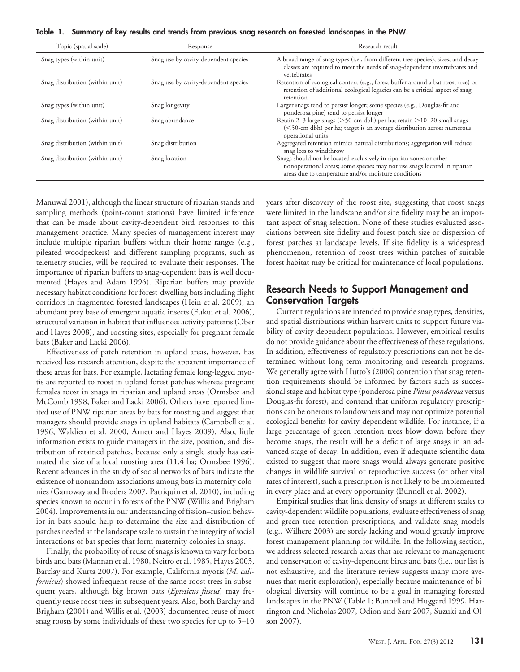|  |  |  |  |  |  |  |  |  |  |  | Table 1.   Summary of key results and trends from previous snag research on forested landscapes in the PNW. |  |  |  |  |  |  |  |  |  |
|--|--|--|--|--|--|--|--|--|--|--|-------------------------------------------------------------------------------------------------------------|--|--|--|--|--|--|--|--|--|
|--|--|--|--|--|--|--|--|--|--|--|-------------------------------------------------------------------------------------------------------------|--|--|--|--|--|--|--|--|--|

| Topic (spatial scale)           | Response                             | Research result                                                                                                                                                                                       |
|---------------------------------|--------------------------------------|-------------------------------------------------------------------------------------------------------------------------------------------------------------------------------------------------------|
| Snag types (within unit)        | Snag use by cavity-dependent species | A broad range of snag types (i.e., from different tree species), sizes, and decay<br>classes are required to meet the needs of snag-dependent invertebrates and<br>vertebrates                        |
| Snag distribution (within unit) | Snag use by cavity-dependent species | Retention of ecological context (e.g., forest buffer around a bat roost tree) or<br>retention of additional ecological legacies can be a critical aspect of snag<br>retention                         |
| Snag types (within unit)        | Snag longevity                       | Larger snags tend to persist longer; some species (e.g., Douglas-fir and<br>ponderosa pine) tend to persist longer                                                                                    |
| Snag distribution (within unit) | Snag abundance                       | Retain 2-3 large snags ( $>$ 50-cm dbh) per ha; retain $>$ 10-20 small snags<br>(<50-cm dbh) per ha; target is an average distribution across numerous<br>operational units                           |
| Snag distribution (within unit) | Snag distribution                    | Aggregated retention mimics natural distributions; aggregation will reduce<br>snag loss to windthrow                                                                                                  |
| Snag distribution (within unit) | Snag location                        | Snags should not be located exclusively in riparian zones or other<br>nonoperational areas; some species may not use snags located in riparian<br>areas due to temperature and/or moisture conditions |

Manuwal 2001), although the linear structure of riparian stands and sampling methods (point-count stations) have limited inference that can be made about cavity-dependent bird responses to this management practice. Many species of management interest may include multiple riparian buffers within their home ranges (e.g., pileated woodpeckers) and different sampling programs, such as telemetry studies, will be required to evaluate their responses. The importance of riparian buffers to snag-dependent bats is well documented (Hayes and Adam 1996). Riparian buffers may provide necessary habitat conditions for forest-dwelling bats including flight corridors in fragmented forested landscapes (Hein et al. 2009), an abundant prey base of emergent aquatic insects (Fukui et al. 2006), structural variation in habitat that influences activity patterns (Ober and Hayes 2008), and roosting sites, especially for pregnant female bats (Baker and Lacki 2006).

Effectiveness of patch retention in upland areas, however, has received less research attention, despite the apparent importance of these areas for bats. For example, lactating female long-legged myotis are reported to roost in upland forest patches whereas pregnant females roost in snags in riparian and upland areas (Ormsbee and McComb 1998, Baker and Lacki 2006). Others have reported limited use of PNW riparian areas by bats for roosting and suggest that managers should provide snags in upland habitats (Campbell et al. 1996, Waldien et al. 2000, Arnett and Hayes 2009). Also, little information exists to guide managers in the size, position, and distribution of retained patches, because only a single study has estimated the size of a local roosting area (11.4 ha; Ormsbee 1996). Recent advances in the study of social networks of bats indicate the existence of nonrandom associations among bats in maternity colonies (Garroway and Broders 2007, Patriquin et al. 2010), including species known to occur in forests of the PNW (Willis and Brigham 2004). Improvements in our understanding of fission–fusion behavior in bats should help to determine the size and distribution of patches needed at the landscape scale to sustain the integrity of social interactions of bat species that form maternity colonies in snags.

Finally, the probability of reuse of snags is known to vary for both birds and bats (Mannan et al. 1980, Neitro et al. 1985, Hayes 2003, Barclay and Kurta 2007). For example, California myotis (*M. californicus*) showed infrequent reuse of the same roost trees in subsequent years, although big brown bats (*Eptesicus fuscus*) may frequently reuse roost trees in subsequent years. Also, both Barclay and Brigham (2001) and Willis et al. (2003) documented reuse of most snag roosts by some individuals of these two species for up to 5–10 years after discovery of the roost site, suggesting that roost snags were limited in the landscape and/or site fidelity may be an important aspect of snag selection. None of these studies evaluated associations between site fidelity and forest patch size or dispersion of forest patches at landscape levels. If site fidelity is a widespread phenomenon, retention of roost trees within patches of suitable forest habitat may be critical for maintenance of local populations.

# **Research Needs to Support Management and Conservation Targets**

Current regulations are intended to provide snag types, densities, and spatial distributions within harvest units to support future viability of cavity-dependent populations. However, empirical results do not provide guidance about the effectiveness of these regulations. In addition, effectiveness of regulatory prescriptions can not be determined without long-term monitoring and research programs. We generally agree with Hutto's (2006) contention that snag retention requirements should be informed by factors such as successional stage and habitat type (ponderosa pine *Pinus ponderosa* versus Douglas-fir forest), and contend that uniform regulatory prescriptions can be onerous to landowners and may not optimize potential ecological benefits for cavity-dependent wildlife. For instance, if a large percentage of green retention trees blow down before they become snags, the result will be a deficit of large snags in an advanced stage of decay. In addition, even if adequate scientific data existed to suggest that more snags would always generate positive changes in wildlife survival or reproductive success (or other vital rates of interest), such a prescription is not likely to be implemented in every place and at every opportunity (Bunnell et al. 2002).

Empirical studies that link density of snags at different scales to cavity-dependent wildlife populations, evaluate effectiveness of snag and green tree retention prescriptions, and validate snag models (e.g., Wilhere 2003) are sorely lacking and would greatly improve forest management planning for wildlife. In the following section, we address selected research areas that are relevant to management and conservation of cavity-dependent birds and bats (i.e., our list is not exhaustive, and the literature review suggests many more avenues that merit exploration), especially because maintenance of biological diversity will continue to be a goal in managing forested landscapes in the PNW (Table 1; Bunnell and Huggard 1999, Harrington and Nicholas 2007, Odion and Sarr 2007, Suzuki and Olson 2007).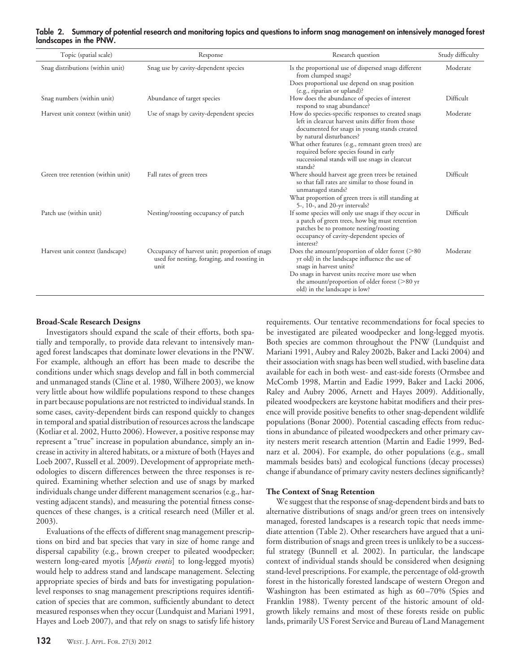|                        |  | Table 2. Summary of potential research and monitoring topics and questions to inform snag management on intensively managed forest |  |
|------------------------|--|------------------------------------------------------------------------------------------------------------------------------------|--|
| landscapes in the PNW. |  |                                                                                                                                    |  |

| Topic (spatial scale)              | Response                                                                                              | Research question                                                                                                                                                                                                                         | Study difficulty |  |
|------------------------------------|-------------------------------------------------------------------------------------------------------|-------------------------------------------------------------------------------------------------------------------------------------------------------------------------------------------------------------------------------------------|------------------|--|
| Snag distributions (within unit)   | Snag use by cavity-dependent species                                                                  | Is the proportional use of dispersed snags different<br>from clumped snags?<br>Does proportional use depend on snag position                                                                                                              | Moderate         |  |
| Snag numbers (within unit)         | Abundance of target species                                                                           | (e.g., riparian or upland)?<br>How does the abundance of species of interest<br>respond to snag abundance?                                                                                                                                | Difficult        |  |
| Harvest unit context (within unit) | Use of snags by cavity-dependent species                                                              | How do species-specific responses to created snags<br>left in clearcut harvest units differ from those<br>documented for snags in young stands created<br>by natural disturbances?<br>What other features (e.g., remnant green trees) are | Moderate         |  |
|                                    |                                                                                                       | required before species found in early<br>successional stands will use snags in clearcut<br>stands?                                                                                                                                       |                  |  |
| Green tree retention (within unit) | Fall rates of green trees                                                                             | Where should harvest age green trees be retained<br>so that fall rates are similar to those found in<br>unmanaged stands?                                                                                                                 | Difficult        |  |
|                                    |                                                                                                       | What proportion of green trees is still standing at<br>5-, 10-, and 20-yr intervals?                                                                                                                                                      |                  |  |
| Patch use (within unit)            | Nesting/roosting occupancy of patch                                                                   | If some species will only use snags if they occur in<br>a patch of green trees, how big must retention<br>patches be to promote nesting/roosting<br>occupancy of cavity-dependent species of<br>interest?                                 | Difficult        |  |
| Harvest unit context (landscape)   | Occupancy of harvest unit; proportion of snags<br>used for nesting, foraging, and roosting in<br>unit | Does the amount/proportion of older forest $( > 80$<br>yr old) in the landscape influence the use of<br>snags in harvest units?                                                                                                           | Moderate         |  |
|                                    |                                                                                                       | Do snags in harvest units receive more use when<br>the amount/proportion of older forest $($ >80 yr<br>old) in the landscape is low?                                                                                                      |                  |  |

## **Broad-Scale Research Designs**

Investigators should expand the scale of their efforts, both spatially and temporally, to provide data relevant to intensively managed forest landscapes that dominate lower elevations in the PNW. For example, although an effort has been made to describe the conditions under which snags develop and fall in both commercial and unmanaged stands (Cline et al. 1980, Wilhere 2003), we know very little about how wildlife populations respond to these changes in part because populations are not restricted to individual stands. In some cases, cavity-dependent birds can respond quickly to changes in temporal and spatial distribution of resources across the landscape (Kotliar et al. 2002, Hutto 2006). However, a positive response may represent a "true" increase in population abundance, simply an increase in activity in altered habitats, or a mixture of both (Hayes and Loeb 2007, Russell et al. 2009). Development of appropriate methodologies to discern differences between the three responses is required. Examining whether selection and use of snags by marked individuals change under different management scenarios (e.g., harvesting adjacent stands), and measuring the potential fitness consequences of these changes, is a critical research need (Miller et al. 2003).

Evaluations of the effects of different snag management prescriptions on bird and bat species that vary in size of home range and dispersal capability (e.g., brown creeper to pileated woodpecker; western long-eared myotis [*Myotis evotis*] to long-legged myotis) would help to address stand and landscape management. Selecting appropriate species of birds and bats for investigating populationlevel responses to snag management prescriptions requires identification of species that are common, sufficiently abundant to detect measured responses when they occur (Lundquist and Mariani 1991, Hayes and Loeb 2007), and that rely on snags to satisfy life history

requirements. Our tentative recommendations for focal species to be investigated are pileated woodpecker and long-legged myotis. Both species are common throughout the PNW (Lundquist and Mariani 1991, Aubry and Raley 2002b, Baker and Lacki 2004) and their association with snags has been well studied, with baseline data available for each in both west- and east-side forests (Ormsbee and McComb 1998, Martin and Eadie 1999, Baker and Lacki 2006, Raley and Aubry 2006, Arnett and Hayes 2009). Additionally, pileated woodpeckers are keystone habitat modifiers and their presence will provide positive benefits to other snag-dependent wildlife populations (Bonar 2000). Potential cascading effects from reductions in abundance of pileated woodpeckers and other primary cavity nesters merit research attention (Martin and Eadie 1999, Bednarz et al. 2004). For example, do other populations (e.g., small mammals besides bats) and ecological functions (decay processes) change if abundance of primary cavity nesters declines significantly?

## **The Context of Snag Retention**

We suggest that the response of snag-dependent birds and bats to alternative distributions of snags and/or green trees on intensively managed, forested landscapes is a research topic that needs immediate attention (Table 2). Other researchers have argued that a uniform distribution of snags and green trees is unlikely to be a successful strategy (Bunnell et al. 2002). In particular, the landscape context of individual stands should be considered when designing stand-level prescriptions. For example, the percentage of old-growth forest in the historically forested landscape of western Oregon and Washington has been estimated as high as 60 –70% (Spies and Franklin 1988). Twenty percent of the historic amount of oldgrowth likely remains and most of these forests reside on public lands, primarily US Forest Service and Bureau of Land Management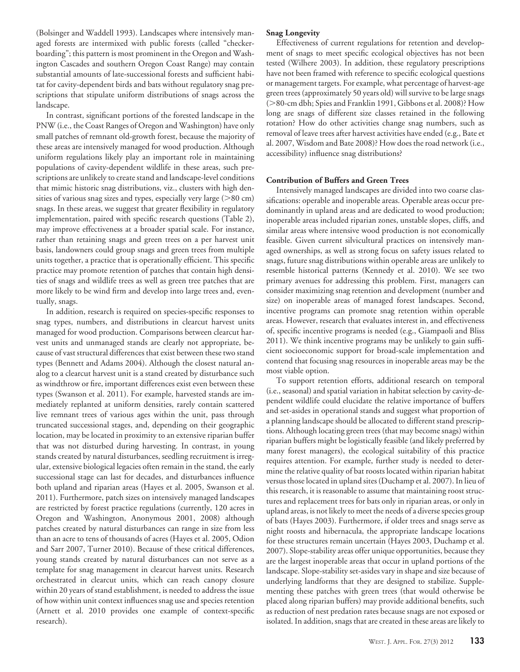(Bolsinger and Waddell 1993). Landscapes where intensively managed forests are intermixed with public forests (called "checkerboarding"; this pattern is most prominent in the Oregon and Washington Cascades and southern Oregon Coast Range) may contain substantial amounts of late-successional forests and sufficient habitat for cavity-dependent birds and bats without regulatory snag prescriptions that stipulate uniform distributions of snags across the landscape.

In contrast, significant portions of the forested landscape in the PNW (i.e., the Coast Ranges of Oregon and Washington) have only small patches of remnant old-growth forest, because the majority of these areas are intensively managed for wood production. Although uniform regulations likely play an important role in maintaining populations of cavity-dependent wildlife in these areas, such prescriptions are unlikely to create stand and landscape-level conditions that mimic historic snag distributions, viz., clusters with high densities of various snag sizes and types, especially very large ( $>$ 80 cm) snags. In these areas, we suggest that greater flexibility in regulatory implementation, paired with specific research questions (Table 2), may improve effectiveness at a broader spatial scale. For instance, rather than retaining snags and green trees on a per harvest unit basis, landowners could group snags and green trees from multiple units together, a practice that is operationally efficient. This specific practice may promote retention of patches that contain high densities of snags and wildlife trees as well as green tree patches that are more likely to be wind firm and develop into large trees and, eventually, snags.

In addition, research is required on species-specific responses to snag types, numbers, and distributions in clearcut harvest units managed for wood production. Comparisons between clearcut harvest units and unmanaged stands are clearly not appropriate, because of vast structural differences that exist between these two stand types (Bennett and Adams 2004). Although the closest natural analog to a clearcut harvest unit is a stand created by disturbance such as windthrow or fire, important differences exist even between these types (Swanson et al. 2011). For example, harvested stands are immediately replanted at uniform densities, rarely contain scattered live remnant trees of various ages within the unit, pass through truncated successional stages, and, depending on their geographic location, may be located in proximity to an extensive riparian buffer that was not disturbed during harvesting. In contrast, in young stands created by natural disturbances, seedling recruitment is irregular, extensive biological legacies often remain in the stand, the early successional stage can last for decades, and disturbances influence both upland and riparian areas (Hayes et al. 2005, Swanson et al. 2011). Furthermore, patch sizes on intensively managed landscapes are restricted by forest practice regulations (currently, 120 acres in Oregon and Washington, Anonymous 2001, 2008) although patches created by natural disturbances can range in size from less than an acre to tens of thousands of acres (Hayes et al. 2005, Odion and Sarr 2007, Turner 2010). Because of these critical differences, young stands created by natural disturbances can not serve as a template for snag management in clearcut harvest units. Research orchestrated in clearcut units, which can reach canopy closure within 20 years of stand establishment, is needed to address the issue of how within unit context influences snag use and species retention (Arnett et al. 2010 provides one example of context-specific research).

## **Snag Longevity**

Effectiveness of current regulations for retention and development of snags to meet specific ecological objectives has not been tested (Wilhere 2003). In addition, these regulatory prescriptions have not been framed with reference to specific ecological questions or management targets. For example, what percentage of harvest-age green trees (approximately 50 years old) will survive to be large snags (>80-cm dbh; Spies and Franklin 1991, Gibbons et al. 2008)? How long are snags of different size classes retained in the following rotation? How do other activities change snag numbers, such as removal of leave trees after harvest activities have ended (e.g., Bate et al. 2007, Wisdom and Bate 2008)? How does the road network (i.e., accessibility) influence snag distributions?

## **Contribution of Buffers and Green Trees**

Intensively managed landscapes are divided into two coarse classifications: operable and inoperable areas. Operable areas occur predominantly in upland areas and are dedicated to wood production; inoperable areas included riparian zones, unstable slopes, cliffs, and similar areas where intensive wood production is not economically feasible. Given current silvicultural practices on intensively managed ownerships, as well as strong focus on safety issues related to snags, future snag distributions within operable areas are unlikely to resemble historical patterns (Kennedy et al. 2010). We see two primary avenues for addressing this problem. First, managers can consider maximizing snag retention and development (number and size) on inoperable areas of managed forest landscapes. Second, incentive programs can promote snag retention within operable areas. However, research that evaluates interest in, and effectiveness of, specific incentive programs is needed (e.g., Giampaoli and Bliss 2011). We think incentive programs may be unlikely to gain sufficient socioeconomic support for broad-scale implementation and contend that focusing snag resources in inoperable areas may be the most viable option.

To support retention efforts, additional research on temporal (i.e., seasonal) and spatial variation in habitat selection by cavity-dependent wildlife could elucidate the relative importance of buffers and set-asides in operational stands and suggest what proportion of a planning landscape should be allocated to different stand prescriptions. Although locating green trees (that may become snags) within riparian buffers might be logistically feasible (and likely preferred by many forest managers), the ecological suitability of this practice requires attention. For example, further study is needed to determine the relative quality of bat roosts located within riparian habitat versus those located in upland sites (Duchamp et al. 2007). In lieu of this research, it is reasonable to assume that maintaining roost structures and replacement trees for bats only in riparian areas, or only in upland areas, is not likely to meet the needs of a diverse species group of bats (Hayes 2003). Furthermore, if older trees and snags serve as night roosts and hibernacula, the appropriate landscape locations for these structures remain uncertain (Hayes 2003, Duchamp et al. 2007). Slope-stability areas offer unique opportunities, because they are the largest inoperable areas that occur in upland portions of the landscape. Slope-stability set-asides vary in shape and size because of underlying landforms that they are designed to stabilize. Supplementing these patches with green trees (that would otherwise be placed along riparian buffers) may provide additional benefits, such as reduction of nest predation rates because snags are not exposed or isolated. In addition, snags that are created in these areas are likely to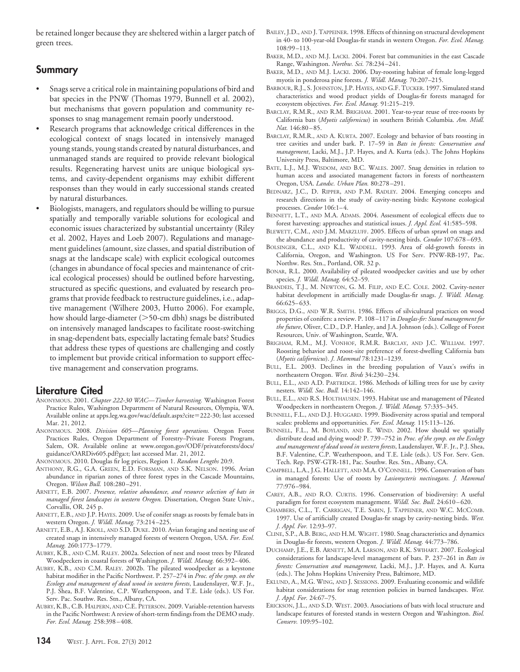be retained longer because they are sheltered within a larger patch of green trees.

# **Summary**

- Snags serve a critical role in maintaining populations of bird and bat species in the PNW (Thomas 1979, Bunnell et al. 2002), but mechanisms that govern population and community responses to snag management remain poorly understood.
- Research programs that acknowledge critical differences in the ecological context of snags located in intensively managed young stands, young stands created by natural disturbances, and unmanaged stands are required to provide relevant biological results. Regenerating harvest units are unique biological systems, and cavity-dependent organisms may exhibit different responses than they would in early successional stands created by natural disturbances.
- Biologists, managers, and regulators should be willing to pursue spatially and temporally variable solutions for ecological and economic issues characterized by substantial uncertainty (Riley et al. 2002, Hayes and Loeb 2007). Regulations and management guidelines (amount, size classes, and spatial distribution of snags at the landscape scale) with explicit ecological outcomes (changes in abundance of focal species and maintenance of critical ecological processes) should be outlined before harvesting, structured as specific questions, and evaluated by research programs that provide feedback to restructure guidelines, i.e., adaptive management (Wilhere 2003, Hutto 2006). For example, how should large-diameter (>50-cm dbh) snags be distributed on intensively managed landscapes to facilitate roost-switching in snag-dependent bats, especially lactating female bats? Studies that address these types of questions are challenging and costly to implement but provide critical information to support effective management and conservation programs.

## **Literature Cited**

- ANONYMOUS. 2001. *Chapter 222-30 WAC—Timber harvesting.* Washington Forest Practice Rules, Washington Department of Natural Resources, Olympia, WA. Available online at [apps.leg.wa.gov/wac/default.aspx?cite](apps.leg.wa.gov/wac/default.aspx?cite=222-30)=222-30; last accessed Mar. 21, 2012.
- ANONYMOUS. 2008. *Division 605—Planning forest operations.* Oregon Forest Practices Rules, Oregon Department of Forestry–Private Forests Program, Salem, OR. Available online at [www.oregon.gov/ODF/privateforests/docs/](www.oregon.gov/ODF/privateforests/docs/guidance/OARDiv605.pdf?ga:t) [guidance/OARDiv605.pdf?ga:t;](www.oregon.gov/ODF/privateforests/docs/guidance/OARDiv605.pdf?ga:t) last accessed Mar. 21, 2012.
- ANONYMOUS. 2010. Douglas fir log prices, Region 1. *Random Lengths* 20:9.
- ANTHONY, R.G., G.A. GREEN, E.D. FORSMAN, AND S.K. NELSON. 1996. Avian abundance in riparian zones of three forest types in the Cascade Mountains, Oregon. *Wilson Bull.* 108:280 –291.
- ARNETT, E.B. 2007. *Presence, relative abundance, and resource selection of bats in managed forest landscapes in western Oregon.* Dissertation, Oregon State Univ., Corvallis, OR. 245 p.
- ARNETT, E.B., AND J.P. HAYES. 2009. Use of conifer snags as roosts by female bats in western Oregon. *J. Wildl. Manag.* 73:214 –225.
- ARNETT, E.B., A.J. KROLL, AND S.D. DUKE. 2010. Avian foraging and nesting use of created snags in intensively managed forests of western Oregon, USA. *For. Ecol. Manag.* 260:1773–1779.
- AUBRY, K.B., AND C.M. RALEY. 2002a. Selection of nest and roost trees by Pileated Woodpeckers in coastal forests of Washington. *J. Wildl. Manag.* 66:392– 406.
- AUBRY, K.B., AND C.M. RALEY. 2002b. The pileated woodpecker as a keystone habitat modifier in the Pacific Northwest. P. 257–274 in *Proc. of the symp. on the Ecology and management of dead wood in western forests*, Laudenslayer, W.F. Jr., P.J. Shea, B.F. Valentine, C.P. Weatherspoon, and T.E. Lisle (eds.). US For. Serv. Pac. Southw. Res. Stn., Albany, CA.
- AUBRY, K.B., C.B. HALPERN, AND C.E. PETERSON. 2009. Variable-retention harvests in the Pacific Northwest: A review of short-term findings from the DEMO study. *For. Ecol. Manag.* 258:398 – 408.
- BAILEY, J.D., AND J. TAPPEINER. 1998. Effects of thinning on structural development in 40- to 100-year-old Douglas-fir stands in western Oregon. *For. Ecol. Manag.* 108:99 –113.
- BAKER, M.D., AND M.J. LACKI. 2004. Forest bat communities in the east Cascade Range, Washington. *Northw. Sci.* 78:234 –241.
- BAKER, M.D., AND M.J. LACKI. 2006. Day-roosting habitat of female long-legged myotis in ponderosa pine forests. *J. Wildl. Manag.* 70:207–215.
- BARBOUR, R.J., S. JOHNSTON, J.P. HAYES, AND G.F. TUCKER. 1997. Simulated stand characteristics and wood product yields of Douglas-fir forests managed for ecosystem objectives. *For. Ecol. Manag.* 91:215–219.
- BARCLAY, R.M.R., AND R.M. BRIGHAM. 2001. Year-to-year reuse of tree-roosts by California bats (*Myotis californicus*) in southern British Columbia. *Am. Midl. Nat.* 146:80 – 85.
- BARCLAY, R.M.R., AND A. KURTA. 2007. Ecology and behavior of bats roosting in tree cavities and under bark. P. 17–59 in *Bats in forests: Conservation and management*, Lacki, M.J., J.P. Hayes, and A. Kurta (eds.). The Johns Hopkins University Press, Baltimore, MD.
- BATE, L.J., M.J. WISDOM, AND B.C. WALES. 2007. Snag densities in relation to human access and associated management factors in forests of northeastern Oregon, USA. *Landsc. Urban Plan.* 80:278 –291.
- BEDNARZ, J.C., D. RIPPER, AND P.M. RADLEY. 2004. Emerging concepts and research directions in the study of cavity-nesting birds: Keystone ecological processes. *Condor* 106:1-4.
- BENNETT, L.T., AND M.A. ADAMS. 2004. Assessment of ecological effects due to forest harvesting: approaches and statistical issues. *J. Appl. Ecol.* 41:585–598.
- BLEWETT, C.M., AND J.M. MARZLUFF. 2005. Effects of urban sprawl on snags and the abundance and productivity of cavity-nesting birds. *Condor* 107:678 – 693.
- BOLSINGER, C.L., AND K.L. WADDELL. 1993. Area of old-growth forests in California, Oregon, and Washington. US For Serv. PNW-RB-197, Pac. Northw. Res. Stn., Portland, OR. 32 p.
- BONAR, R.L. 2000. Availability of pileated woodpecker cavities and use by other species. *J. Wildl. Manag.* 64:52–59.
- BRANDEIS, T.J., M. NEWTON, G. M. FILIP, AND E.C. COLE. 2002. Cavity-nester habitat development in artificially made Douglas-fir snags. *J. Wildl. Manag.* 66:625– 633.
- BRIGGS, D.G., AND W.R. SMITH. 1986. Effects of silvicultural practices on wood properties of conifers: a review. P. 108 –117 in *Douglas-fir: Stand management for the future*, Oliver, C.D., D.P. Hanley, and J.A. Johnson (eds.). College of Forest Resources, Univ. of Washington, Seattle, WA.
- BRIGHAM, R.M., M.J. VONHOF, R.M.R. BARCLAY, AND J.C. WILLIAM. 1997. Roosting behavior and roost-site preference of forest-dwelling California bats (*Myotis californicus*). *J. Mammal* 78:1231–1239.
- BULL, E.L. 2003. Declines in the breeding population of Vaux's swifts in northeastern Oregon. *West. Birds* 34:230 –234.
- BULL, E.L., AND A.D. PARTRIDGE. 1986. Methods of killing trees for use by cavity nesters. *Wildl. Soc. Bull.* 14:142–146.
- BULL, E.L., AND R.S. HOLTHAUSEN. 1993. Habitat use and management of Pileated Woodpeckers in northeastern Oregon. *J. Wildl. Manag.* 57:335–345.
- BUNNELL, F.L., AND D.J. HUGGARD. 1999. Biodiversity across spatial and temporal scales: problems and opportunities. *For. Ecol. Manag.* 115:113–126.
- BUNNELL, F.L., M. BOYLAND, AND E. WIND. 2002. How should we spatially distribute dead and dying wood? P. 739 –752 in *Proc. of the symp. on the Ecology and management of dead wood in western forests*, Laudenslayer, W.F. Jr., P.J. Shea, B.F. Valentine, C.P. Weatherspoon, and T.E. Lisle (eds.). US For. Serv. Gen. Tech. Rep. PSW-GTR-181, Pac. Southw. Res. Stn., Albany, CA.
- CAMPBELL, L.A., J.G. HALLETT, AND M.A. O'CONNELL. 1996. Conservation of bats in managed forests: Use of roosts by *Lasionycteris noctivagans. J. Mammal* 77:976 –984.
- CAREY, A.B., AND R.O. CURTIS. 1996. Conservation of biodiversity: A useful paradigm for forest ecosystem management. *Wildl. Soc. Bull*. 24:610 – 620.
- CHAMBERS, C.L., T. CARRIGAN, T.E. SABIN, J. TAPPEINER, AND W.C. MCCOMB. 1997. Use of artificially created Douglas-fir snags by cavity-nesting birds. *West. J. Appl. For.* 12:93–97.
- CLINE, S.P., A.B. BERG, AND H.M. WIGHT. 1980. Snag characteristics and dynamics in Douglas-fir forests, western Oregon. *J. Wildl. Manag.* 44:773–786.
- DUCHAMP, J.E., E.B. ARNETT, M.A. LARSON, AND R.K. SWIHART. 2007. Ecological considerations for landscape-level management of bats. P. 237–261 in *Bats in forests: Conservation and management,* Lacki, M.J., J.P. Hayes, and A. Kurta (eds.). The Johns Hopkins University Press, Baltimore, MD.
- EKLUND, A., M.G. WING, AND J. SESSIONS. 2009. Evaluating economic and wildlife habitat considerations for snag retention policies in burned landscapes. *West. J. Appl. For.* 24:67–75.
- ERICKSON, J.L., AND S.D. WEST. 2003. Associations of bats with local structure and landscape features of forested stands in western Oregon and Washington. *Biol. Conserv.* 109:95–102.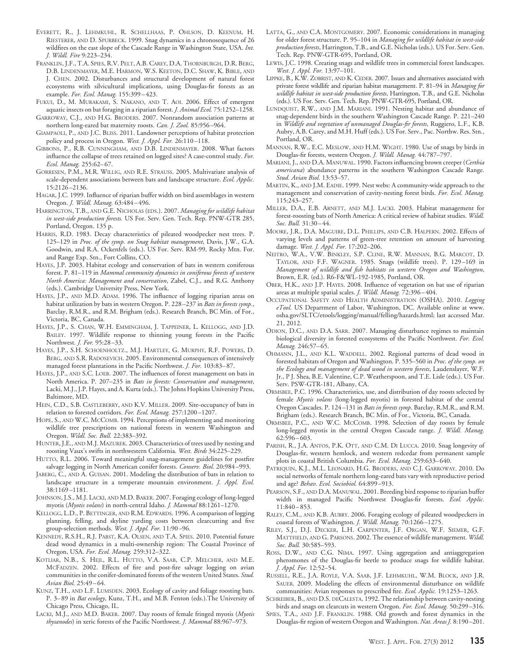- EVERETT, R., J. LEHMKUHL, R. SCHELLHAAS, P. OHLSON, D. KEENUM, H. RIESTERER, AND D. SPURBECK. 1999. Snag dynamics in a chronosequence of 26 wildfires on the east slope of the Cascade Range in Washington State, USA. *Int. J. Wildl. Fire* 9:223–234.
- FRANKLIN, J.F., T.A. SPIES, R.V. PELT, A.B. CAREY, D.A. THORNBURGH, D.R. BERG, D.B. LINDENMAYER, M.E. HARMON, W.S. KEETON, D.C. SHAW, K. BIBLE, AND J. CHEN. 2002. Disturbances and structural development of natural forest ecosystems with silvicultural implications, using Douglas-fir forests as an example. *For. Ecol. Manag.* 155:399 – 423.
- FUKUI, D., M. MURAKAMI, S. NAKANO, AND T. AOI. 2006. Effect of emergent aquatic insects on bat foraging in a riparian forest. *J. Animal Ecol.* 75:1252–1258.
- GARROWAY, C.J., AND H.G. BRODERS. 2007. Nonrandom association patterns at northern long-eared bat maternity roosts. *Can. J. Zool.* 85:956 –964.
- GIAMPAOLI, P., AND J.C. BLISS. 2011. Landowner perceptions of habitat protection policy and process in Oregon. *West. J. Appl. For.* 26:110 –118.
- GIBBONS, P., R.B. CUNNINGHAM, AND D.B. LINDENMAYER. 2008. What factors influence the collapse of trees retained on logged sites? A case-control study. *For. Ecol. Manag.* 255:62– 67.
- GORRESEN, P.M., M.R. WILLIG, AND R.E. STRAUSS. 2005. Multivariate analysis of scale-dependent associations between bats and landscape structure. *Ecol. Applic.* 15:2126 –2136.
- HAGAR, J.C. 1999. Influence of riparian buffer width on bird assemblages in western Oregon. *J. Wildl. Manag.* 63:484 – 496.
- HARRINGTON, T.B., AND G.E. NICHOLAS (EDS.). 2007. *Managing for wildlife habitat in west-side production forests.* US For. Serv. Gen. Tech. Rep. PNW-GTR 285, Portland, Oregon. 135 p.
- HARRIS, R.D. 1983. Decay characteristics of pileated woodpecker nest trees. P. 125–129 in *Proc. of the symp. on Snag habitat management*, Davis, J.W., G.A. Goodwin, and R.A. Ockenfels (eds.). US For. Serv. RM-99, Rocky Mtn. For. and Range Exp. Stn., Fort Collins, CO.
- HAYES, J.P. 2003. Habitat ecology and conservation of bats in western coniferous forest. P. 81–119 in *Mammal community dynamics in coniferous forests of western North America: Management and conservation*, Zabel, C.J., and R.G. Anthony (eds.). Cambridge University Press, New York.
- HAYES, J.P., AND M.D. ADAM. 1996. The influence of logging riparian areas on habitat utilization by bats in western Oregon. P. 228 –237 in *Bats in forests symp.*, Barclay, R.M.R., and R.M. Brigham (eds.). Research Branch, BC Min. of For., Victoria, BC, Canada.
- HAYES, J.P., S. CHAN, W.H. EMMINGHAM, J. TAPPEINER, L. KELLOGG, AND J.D. BAILEY. 1997. Wildlife response to thinning young forests in the Pacific Northwest. *J. For.* 95:28 –33.
- HAYES, J.P., S.H. SCHOENHOLTZ., M.J. HARTLEY, G. MURPHY, R.F. POWERS, D. BERG, AND S.R. RADOSEVICH. 2005. Environmental consequences of intensively managed forest plantations in the Pacific Northwest. *J. For.* 103:83– 87.
- HAYES, J.P., AND S.C. LOEB. 2007. The influences of forest management on bats in North America. P. 207–235 in *Bats in forests: Conservation and management*, Lacki, M.J., J.P. Hayes, and A. Kurta (eds.). The Johns Hopkins University Press, Baltimore, MD.
- HEIN, C.D., S.B. CASTLEBERRY, AND K.V. MILLER. 2009. Site-occupancy of bats in relation to forested corridors. *For. Ecol. Manag.* 257:1200 –1207.
- HOPE, S., AND W.C. MCCOMB. 1994. Perceptions of implementing and monitoring wildlife tree prescriptions on national forests in western Washington and Oregon. *Wildl. Soc. Bull.* 22:383–392.
- HUNTER, J.E., AND M.J. MAZUREK. 2003. Characteristics of trees used by nesting and roosting Vaux's swifts in northwestern California. *West. Birds* 34:225–229.
- HUTTO, R.L. 2006. Toward meaningful snag-management guidelines for postfire salvage logging in North American conifer forests. *Conserv. Biol.* 20:984 –993.
- JABERG, C., AND A. GUISAN. 2001. Modeling the distribution of bats in relation to landscape structure in a temperate mountain environment. *J. Appl. Ecol.* 38:1169 –1181.
- JOHNSON, J.S., M.J. LACKI, AND M.D. BAKER. 2007. Foraging ecology of long-legged myotis (*Myotis volans*) in north-central Idaho. *J. Mammal* 88:1261–1270.
- KELLOGG, L.D., P. BETTINGER, AND R.M. EDWARDS. 1996. A comparison of logging planning, felling, and skyline yarding costs between clearcutting and five group-selection methods. *West. J. Appl. For.* 11:90 –96.
- KENNEDY, R.S.H., R.J. PABST, K.A. OLSEN, AND T.A. SPIES. 2010. Potential future dead wood dynamics in a multi-ownership region: The Coastal Province of Oregon, USA. *For. Ecol. Manag.* 259:312–322.
- KOTLIAR, N.B., S. HEJL, R.L. HUTTO, V.A. SAAB, C.P. MELCHER, AND M.E. MCFADZEN. 2002. Effects of fire and post-fire salvage logging on avian communities in the conifer-dominated forests of the western United States. *Stud. Avian Biol.* 25:49 – 64.
- KUNZ, T.H., AND L.F. LUMSDEN. 2003. Ecology of cavity and foliage roosting bats. P. 3– 89 in *Bat ecology*, Kunz, T.H., and M.B. Fenton (eds.).The University of Chicago Press, Chicago, IL.
- LACKI, M.J., AND M.D. BAKER. 2007. Day roosts of female fringed myotis (*Myotis thysanodes*) in xeric forests of the Pacific Northwest. *J. Mammal* 88:967–973.
- LATTA, G., AND C.A. MONTGOMERY. 2007. Economic considerations in managing for older forest structure. P. 95–104 in *Managing for wildlife habitat in west-side production forests*, Harrington, T.B., and G.E. Nicholas (eds.). US For. Serv. Gen. Tech. Rep. PNW-GTR-695, Portland, OR.
- LEWIS, J.C. 1998. Creating snags and wildlife trees in commercial forest landscapes. *West. J. Appl. For.* 13:97–101.
- LIPPKE, B., K.W. ZOBRIST, AND K. CEDER. 2007. Issues and alternatives associated with private forest wildlife and riparian habitat management. P. 81–94 in *Managing for wildlife habitat in west-side production forests*, Harrington, T.B., and G.E. Nicholas (eds.). US For. Serv. Gen. Tech. Rep. PNW-GTR-695, Portland, OR.
- LUNDQUIST, R.W., AND J.M. MARIANI. 1991. Nesting habitat and abundance of snag-dependent birds in the southern Washington Cascade Range. P. 221–240 in *Wildlife and vegetation of unmanaged Douglas-fir forests*, Ruggiero, L.F., K.B. Aubry, A.B. Carey, and M.H. Huff (eds.). US For. Serv., Pac. Northw. Res. Stn., Portland, OR.
- MANNAN, R.W., E.C. MESLOW, AND H.M. WIGHT. 1980. Use of snags by birds in Douglas-fir forests, western Oregon. *J. Wildl. Manag.* 44:787–797.
- MARIANI, J., AND D.A. MANUWAL. 1990. Factors influencing brown creeper (*Certhia americana*) abundance patterns in the southern Washington Cascade Range. *Stud. Avian Biol.* 13:53–57.
- MARTIN, K., AND J.M. EADIE. 1999. Nest webs: A community-wide approach to the management and conservation of cavity-nesting forest birds. *For. Ecol. Manag.* 115:243–257.
- MILLER, D.A., E.B. ARNETT, AND M.J. LACKI. 2003. Habitat management for forest-roosting bats of North America: A critical review of habitat studies. *Wildl. Soc. Bull.* 31:30 – 44.
- MOORE, J.R., D.A. MAGUIRE, D.L. PHILLIPS, AND C.B. HALPERN. 2002. Effects of varying levels and patterns of green-tree retention on amount of harvesting damage. *West. J. Appl. For.* 17:202–206.
- NEITRO, W.A., V.W. BINKLEY, S.P. CLINE, R.W. MANNAN, B.G. MARCOT, D. TAYLOR, AND F.F. WAGNER. 1985. Snags (wildlife trees). P. 129 –169 in *Management of wildlife and fish habitats in western Oregon and Washington*, Brown, E.R. (ed.). R6-F&WL-192-1985, Portland, OR.
- OBER, H.K., AND J.P. HAYES. 2008. Influence of vegetation on bat use of riparian areas at multiple spatial scales. *J. Wildl. Manag.* 72:396 – 404.
- OCCUPATIONAL SAFETY AND HEALTH ADMINISTRATION (OSHA). 2010. *Logging eTool.* US Department of Labor, Washington, DC. Available online at [www.](www.osha.gov/SLTC/etools/logging/manual/felling/hazards.html) [osha.gov/SLTC/etools/logging/manual/felling/hazards.html;](www.osha.gov/SLTC/etools/logging/manual/felling/hazards.html) last accessed Mar. 21, 2012.
- ODION, D.C., AND D.A. SARR. 2007. Managing disturbance regimes to maintain biological diversity in forested ecosystems of the Pacific Northwest. *For. Ecol. Manag.* 246:57– 65.
- OHMANN, J.L., AND K.L. WADDELL. 2002. Regional patterns of dead wood in forested habitats of Oregon and Washington. P. 535–560 in *Proc. of the symp. on the Ecology and management of dead wood in western forests*, Laudenslayer, W.F. Jr., P J. Shea, B.E. Valentine, C.P. Weatherspoon, and T.E. Lisle (eds.). US For. Serv. PSW-GTR-181, Albany, CA.
- ORMSBEE, P.C. 1996. Characteristics, use, and distribution of day roosts selected by female *Myotis volans* (long-legged myotis) in forested habitat of the central Oregon Cascades. P. 124 –131 in *Bats in forests symp*. Barclay, R.M.R., and R.M. Brigham (eds.). Research Branch, BC Min. of For., Victoria, BC, Canada.
- ORMSBEE, P.C., AND W.C. MCCOMB. 1998. Selection of day roosts by female long-legged myotis in the central Oregon Cascade range. *J. Wildl. Manag.* 62:596 – 603.
- PARISH, R., J.A. ANTOS, P.K. OTT, AND C.M. DI LUCCA. 2010. Snag longevity of Douglas-fir, western hemlock, and western redcedar from permanent sample plots in coastal British Columbia. *For. Ecol. Manag.* 259:633– 640.
- PATRIQUIN, K.J., M.L. LEONARD, H.G. BRODERS, AND C.J. GARROWAY. 2010. Do social networks of female northern long-eared bats vary with reproductive period and age? *Behav. Ecol. Sociobiol.* 64:899 –913.
- PEARSON, S.F., AND D.A. MANUWAL. 2001. Breeding bird response to riparian buffer width in managed Pacific Northwest Douglas-fir forests. *Ecol. Applic.* 11:840 – 853.
- RALEY, C.M., AND K.B. AUBRY. 2006. Foraging ecology of pileated woodpeckers in coastal forests of Washington. *J. Wildl. Manag.* 70:1266 –1275.
- RILEY, S.J., D.J. DECKER, L.H. CARPENTER, J.F. ORGAN, W.F. SIEMER, G.F. MATTFIELD, AND G. PARSONS. 2002. The essence of wildlife management. *Wildl. Soc. Bull.* 30:585–593.
- ROSS, D.W., AND C.G. NIMA. 1997. Using aggregation and antiaggregation pheromones of the Douglas-fir beetle to produce snags for wildlife habitat. *J. Appl. For.* 12:52–54.
- RUSSELL, R.E., J.A. ROYLE, V.A. SAAB, J.F. LEHMKUHL, W.M. BLOCK, AND J.R. SAUER. 2009. Modeling the effects of environmental disturbance on wildlife communities: Avian responses to prescribed fire. *Ecol. Applic.* 19:1253–1263.
- SCHREIBER, B., AND D.S. DECALESTA. 1992. The relationship between cavity-nesting birds and snags on clearcuts in western Oregon. *For. Ecol. Manag.* 50:299 –316.
- SPIES, T.A., AND J.F. FRANKLIN. 1988. Old growth and forest dynamics in the Douglas-fir region of western Oregon and Washington. *Nat. Areas J.* 8:190 –201.